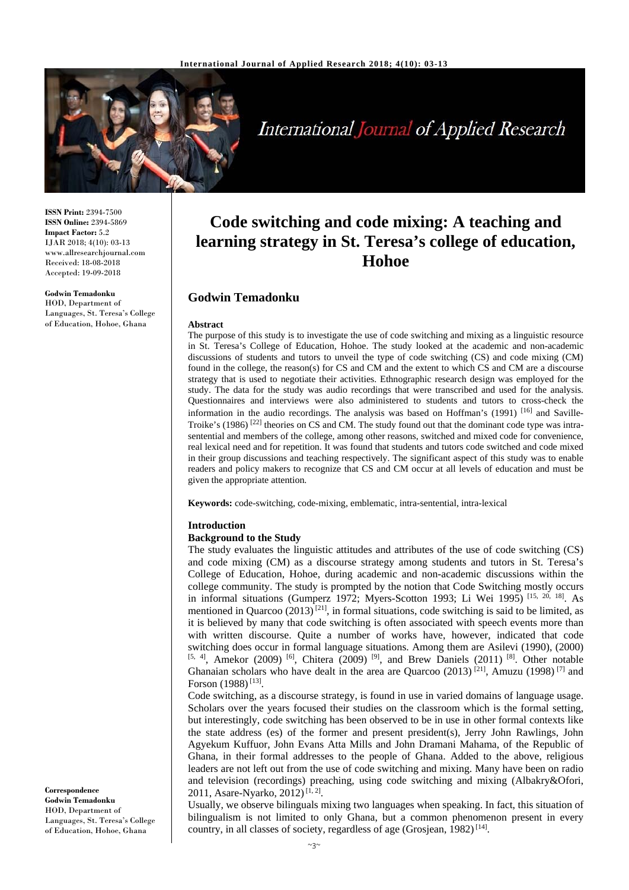

International Journal of Applied Research

**ISSN Print:** 2394-7500 **ISSN Online:** 2394-5869 **Impact Factor:** 5.2 IJAR 2018; 4(10): 03-13 www.allresearchjournal.com Received: 18-08-2018 Accepted: 19-09-2018

#### **Godwin Temadonku**

HOD, Department of Languages, St. Teresa's College of Education, Hohoe, Ghana

# **Code switching and code mixing: A teaching and learning strategy in St. Teresa's college of education, Hohoe**

# **Godwin Temadonku**

#### **Abstract**

The purpose of this study is to investigate the use of code switching and mixing as a linguistic resource in St. Teresa's College of Education, Hohoe. The study looked at the academic and non-academic discussions of students and tutors to unveil the type of code switching (CS) and code mixing (CM) found in the college, the reason(s) for CS and CM and the extent to which CS and CM are a discourse strategy that is used to negotiate their activities. Ethnographic research design was employed for the study. The data for the study was audio recordings that were transcribed and used for the analysis. Questionnaires and interviews were also administered to students and tutors to cross-check the information in the audio recordings. The analysis was based on Hoffman's (1991)<sup>[16]</sup> and Saville-Troike's (1986) <sup>[22]</sup> theories on CS and CM. The study found out that the dominant code type was intrasentential and members of the college, among other reasons, switched and mixed code for convenience, real lexical need and for repetition. It was found that students and tutors code switched and code mixed in their group discussions and teaching respectively. The significant aspect of this study was to enable readers and policy makers to recognize that CS and CM occur at all levels of education and must be given the appropriate attention.

**Keywords:** code-switching, code-mixing, emblematic, intra-sentential, intra-lexical

#### **Introduction**

## **Background to the Study**

The study evaluates the linguistic attitudes and attributes of the use of code switching (CS) and code mixing (CM) as a discourse strategy among students and tutors in St. Teresa's College of Education, Hohoe, during academic and non-academic discussions within the college community. The study is prompted by the notion that Code Switching mostly occurs in informal situations (Gumperz 1972; Myers-Scotton 1993; Li Wei 1995) [15, 20, 18]. As mentioned in Quarcoo  $(2013)^{[21]}$ , in formal situations, code switching is said to be limited, as it is believed by many that code switching is often associated with speech events more than with written discourse. Quite a number of works have, however, indicated that code switching does occur in formal language situations. Among them are Asilevi (1990), (2000)  $[5, 4]$ , Amekor (2009)  $[6]$ , Chitera (2009)  $[9]$ , and Brew Daniels (2011)  $[8]$ . Other notable Ghanaian scholars who have dealt in the area are Quarcoo (2013)<sup>[21]</sup>, Amuzu (1998)<sup>[7]</sup> and Forson (1988)<sup>[13]</sup>.

Code switching, as a discourse strategy, is found in use in varied domains of language usage. Scholars over the years focused their studies on the classroom which is the formal setting, but interestingly, code switching has been observed to be in use in other formal contexts like the state address (es) of the former and present president(s), Jerry John Rawlings, John Agyekum Kuffuor, John Evans Atta Mills and John Dramani Mahama, of the Republic of Ghana, in their formal addresses to the people of Ghana. Added to the above, religious leaders are not left out from the use of code switching and mixing. Many have been on radio and television (recordings) preaching, using code switching and mixing (Albakry&Ofori, 2011, Asare-Nyarko, 2012)<sup>[1, 2]</sup>.

Usually, we observe bilinguals mixing two languages when speaking. In fact, this situation of bilingualism is not limited to only Ghana, but a common phenomenon present in every country, in all classes of society, regardless of age (Grosjean, 1982)<sup>[14]</sup>.

**Correspondence Godwin Temadonku**  HOD, Department of Languages, St. Teresa's College of Education, Hohoe, Ghana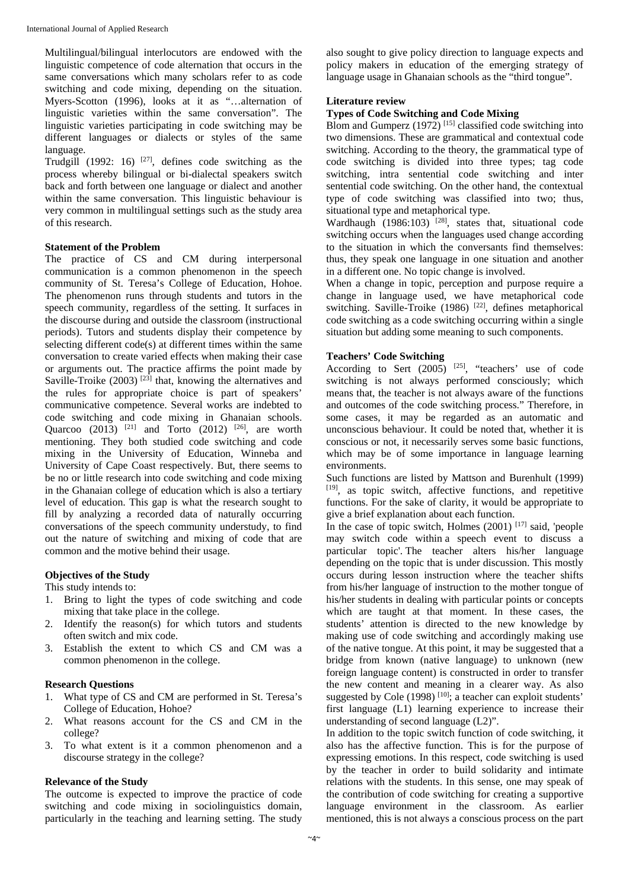Multilingual/bilingual interlocutors are endowed with the linguistic competence of code alternation that occurs in the same conversations which many scholars refer to as code switching and code mixing, depending on the situation. Myers-Scotton (1996), looks at it as "…alternation of linguistic varieties within the same conversation". The linguistic varieties participating in code switching may be different languages or dialects or styles of the same language.

Trudgill (1992: 16) <sup>[27]</sup>, defines code switching as the process whereby bilingual or bi-dialectal speakers switch back and forth between one language or dialect and another within the same conversation. This linguistic behaviour is very common in multilingual settings such as the study area of this research.

#### **Statement of the Problem**

The practice of CS and CM during interpersonal communication is a common phenomenon in the speech community of St. Teresa's College of Education, Hohoe. The phenomenon runs through students and tutors in the speech community, regardless of the setting. It surfaces in the discourse during and outside the classroom (instructional periods). Tutors and students display their competence by selecting different code(s) at different times within the same conversation to create varied effects when making their case or arguments out. The practice affirms the point made by Saville-Troike  $(2003)$ <sup>[23]</sup> that, knowing the alternatives and the rules for appropriate choice is part of speakers' communicative competence. Several works are indebted to code switching and code mixing in Ghanaian schools. Quarcoo (2013) <sup>[21]</sup> and Torto (2012) <sup>[26]</sup>, are worth mentioning. They both studied code switching and code mixing in the University of Education, Winneba and University of Cape Coast respectively. But, there seems to be no or little research into code switching and code mixing in the Ghanaian college of education which is also a tertiary level of education. This gap is what the research sought to fill by analyzing a recorded data of naturally occurring conversations of the speech community understudy, to find out the nature of switching and mixing of code that are common and the motive behind their usage.

## **Objectives of the Study**

This study intends to:

- 1. Bring to light the types of code switching and code mixing that take place in the college.
- 2. Identify the reason(s) for which tutors and students often switch and mix code.
- 3. Establish the extent to which CS and CM was a common phenomenon in the college.

#### **Research Questions**

- 1. What type of CS and CM are performed in St. Teresa's College of Education, Hohoe?
- 2. What reasons account for the CS and CM in the college?
- 3. To what extent is it a common phenomenon and a discourse strategy in the college?

## **Relevance of the Study**

The outcome is expected to improve the practice of code switching and code mixing in sociolinguistics domain, particularly in the teaching and learning setting. The study also sought to give policy direction to language expects and policy makers in education of the emerging strategy of language usage in Ghanaian schools as the "third tongue".

## **Literature review**

## **Types of Code Switching and Code Mixing**

Blom and Gumperz  $(1972)$ <sup>[15]</sup> classified code switching into two dimensions. These are grammatical and contextual code switching. According to the theory, the grammatical type of code switching is divided into three types; tag code switching, intra sentential code switching and inter sentential code switching. On the other hand, the contextual type of code switching was classified into two; thus, situational type and metaphorical type.

Wardhaugh  $(1986:103)$ <sup>[28]</sup>, states that, situational code switching occurs when the languages used change according to the situation in which the conversants find themselves: thus, they speak one language in one situation and another in a different one. No topic change is involved.

When a change in topic, perception and purpose require a change in language used, we have metaphorical code switching. Saville-Troike (1986)<sup>[22]</sup>, defines metaphorical code switching as a code switching occurring within a single situation but adding some meaning to such components.

## **Teachers' Code Switching**

According to Sert  $(2005)$  <sup>[25]</sup>, "teachers' use of code switching is not always performed consciously; which means that, the teacher is not always aware of the functions and outcomes of the code switching process." Therefore, in some cases, it may be regarded as an automatic and unconscious behaviour. It could be noted that, whether it is conscious or not, it necessarily serves some basic functions, which may be of some importance in language learning environments.

Such functions are listed by Mattson and Burenhult (1999) [19], as topic switch, affective functions, and repetitive functions. For the sake of clarity, it would be appropriate to give a brief explanation about each function.

In the case of topic switch, Holmes  $(2001)$ <sup>[17]</sup> said, 'people may switch code within a speech event to discuss a particular topic'. The teacher alters his/her language depending on the topic that is under discussion. This mostly occurs during lesson instruction where the teacher shifts from his/her language of instruction to the mother tongue of his/her students in dealing with particular points or concepts which are taught at that moment. In these cases, the students' attention is directed to the new knowledge by making use of code switching and accordingly making use of the native tongue. At this point, it may be suggested that a bridge from known (native language) to unknown (new foreign language content) is constructed in order to transfer the new content and meaning in a clearer way. As also suggested by Cole  $(1998)$ <sup>[10]</sup>; a teacher can exploit students' first language (L1) learning experience to increase their understanding of second language (L2)".

In addition to the topic switch function of code switching, it also has the affective function. This is for the purpose of expressing emotions. In this respect, code switching is used by the teacher in order to build solidarity and intimate relations with the students. In this sense, one may speak of the contribution of code switching for creating a supportive language environment in the classroom. As earlier mentioned, this is not always a conscious process on the part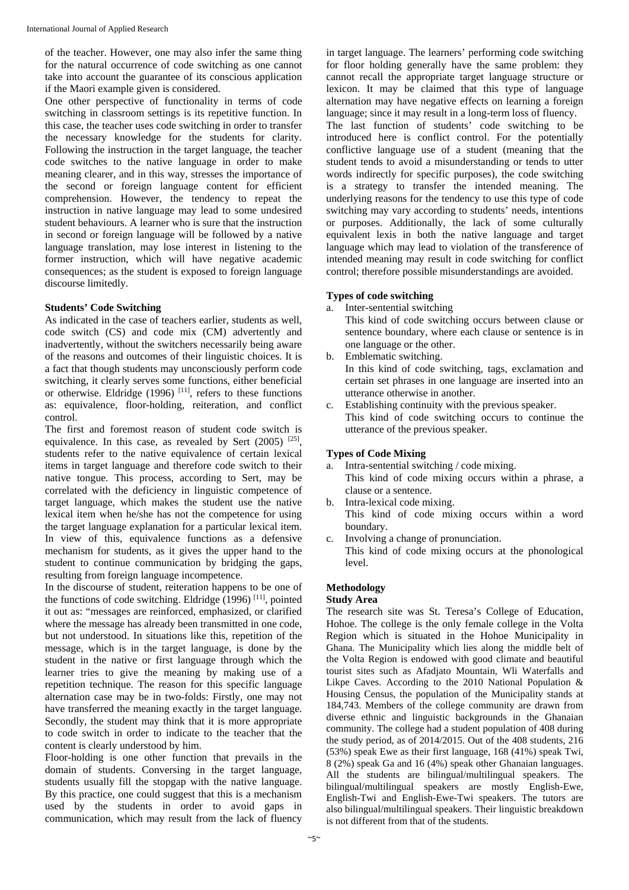of the teacher. However, one may also infer the same thing for the natural occurrence of code switching as one cannot take into account the guarantee of its conscious application if the Maori example given is considered.

One other perspective of functionality in terms of code switching in classroom settings is its repetitive function. In this case, the teacher uses code switching in order to transfer the necessary knowledge for the students for clarity. Following the instruction in the target language, the teacher code switches to the native language in order to make meaning clearer, and in this way, stresses the importance of the second or foreign language content for efficient comprehension. However, the tendency to repeat the instruction in native language may lead to some undesired student behaviours. A learner who is sure that the instruction in second or foreign language will be followed by a native language translation, may lose interest in listening to the former instruction, which will have negative academic consequences; as the student is exposed to foreign language discourse limitedly.

## **Students' Code Switching**

As indicated in the case of teachers earlier, students as well, code switch (CS) and code mix (CM) advertently and inadvertently, without the switchers necessarily being aware of the reasons and outcomes of their linguistic choices. It is a fact that though students may unconsciously perform code switching, it clearly serves some functions, either beneficial or otherwise. Eldridge  $(1996)$ <sup>[11]</sup>, refers to these functions as: equivalence, floor-holding, reiteration, and conflict control.

The first and foremost reason of student code switch is equivalence. In this case, as revealed by Sert (2005) [25], students refer to the native equivalence of certain lexical items in target language and therefore code switch to their native tongue. This process, according to Sert, may be correlated with the deficiency in linguistic competence of target language, which makes the student use the native lexical item when he/she has not the competence for using the target language explanation for a particular lexical item. In view of this, equivalence functions as a defensive mechanism for students, as it gives the upper hand to the student to continue communication by bridging the gaps, resulting from foreign language incompetence.

In the discourse of student, reiteration happens to be one of the functions of code switching. Eldridge  $(1996)$ <sup>[11]</sup>, pointed it out as: "messages are reinforced, emphasized, or clarified where the message has already been transmitted in one code, but not understood. In situations like this, repetition of the message, which is in the target language, is done by the student in the native or first language through which the learner tries to give the meaning by making use of a repetition technique. The reason for this specific language alternation case may be in two-folds: Firstly, one may not have transferred the meaning exactly in the target language. Secondly, the student may think that it is more appropriate to code switch in order to indicate to the teacher that the content is clearly understood by him.

Floor-holding is one other function that prevails in the domain of students. Conversing in the target language, students usually fill the stopgap with the native language. By this practice, one could suggest that this is a mechanism used by the students in order to avoid gaps in communication, which may result from the lack of fluency

in target language. The learners' performing code switching for floor holding generally have the same problem: they cannot recall the appropriate target language structure or lexicon. It may be claimed that this type of language alternation may have negative effects on learning a foreign language; since it may result in a long-term loss of fluency. The last function of students' code switching to be introduced here is conflict control. For the potentially conflictive language use of a student (meaning that the student tends to avoid a misunderstanding or tends to utter words indirectly for specific purposes), the code switching is a strategy to transfer the intended meaning. The underlying reasons for the tendency to use this type of code switching may vary according to students' needs, intentions or purposes. Additionally, the lack of some culturally equivalent lexis in both the native language and target language which may lead to violation of the transference of intended meaning may result in code switching for conflict control; therefore possible misunderstandings are avoided.

## **Types of code switching**

a. Inter-sentential switching

This kind of code switching occurs between clause or sentence boundary, where each clause or sentence is in one language or the other.

- b. Emblematic switching. In this kind of code switching, tags, exclamation and certain set phrases in one language are inserted into an utterance otherwise in another.
- c. Establishing continuity with the previous speaker. This kind of code switching occurs to continue the utterance of the previous speaker.

# **Types of Code Mixing**

- a. Intra-sentential switching / code mixing. This kind of code mixing occurs within a phrase, a clause or a sentence.
- b. Intra-lexical code mixing. This kind of code mixing occurs within a word boundary.
- c. Involving a change of pronunciation. This kind of code mixing occurs at the phonological level.

# **Methodology**

# **Study Area**

The research site was St. Teresa's College of Education, Hohoe. The college is the only female college in the Volta Region which is situated in the Hohoe Municipality in Ghana. The Municipality which lies along the middle belt of the Volta Region is endowed with good climate and beautiful tourist sites such as Afadjato Mountain, Wli Waterfalls and Likpe Caves. According to the 2010 National Population & Housing Census, the population of the Municipality stands at 184,743. Members of the college community are drawn from diverse ethnic and linguistic backgrounds in the Ghanaian community. The college had a student population of 408 during the study period, as of 2014/2015. Out of the 408 students, 216 (53%) speak Ewe as their first language, 168 (41%) speak Twi, 8 (2%) speak Ga and 16 (4%) speak other Ghanaian languages. All the students are bilingual/multilingual speakers. The bilingual/multilingual speakers are mostly English-Ewe, English-Twi and English-Ewe-Twi speakers. The tutors are also bilingual/multilingual speakers. Their linguistic breakdown is not different from that of the students.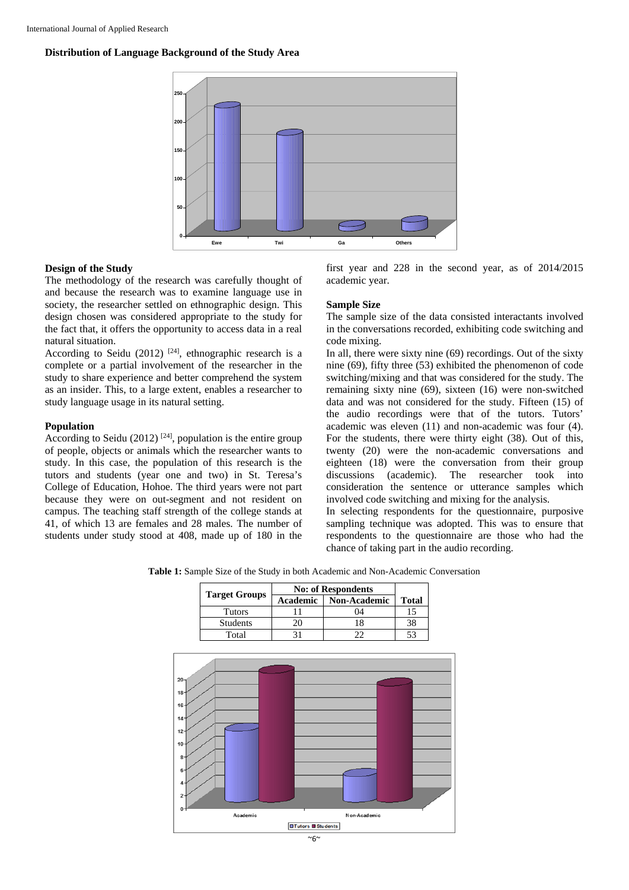**Distribution of Language Background of the Study Area** 



## **Design of the Study**

The methodology of the research was carefully thought of and because the research was to examine language use in society, the researcher settled on ethnographic design. This design chosen was considered appropriate to the study for the fact that, it offers the opportunity to access data in a real natural situation.

According to Seidu (2012) <sup>[24]</sup>, ethnographic research is a complete or a partial involvement of the researcher in the study to share experience and better comprehend the system as an insider. This, to a large extent, enables a researcher to study language usage in its natural setting.

## **Population**

According to Seidu (2012)<sup>[24]</sup>, population is the entire group of people, objects or animals which the researcher wants to study. In this case, the population of this research is the tutors and students (year one and two) in St. Teresa's College of Education, Hohoe. The third years were not part because they were on out-segment and not resident on campus. The teaching staff strength of the college stands at 41, of which 13 are females and 28 males. The number of students under study stood at 408, made up of 180 in the

first year and 228 in the second year, as of 2014/2015 academic year.

## **Sample Size**

The sample size of the data consisted interactants involved in the conversations recorded, exhibiting code switching and code mixing.

In all, there were sixty nine (69) recordings. Out of the sixty nine (69), fifty three (53) exhibited the phenomenon of code switching/mixing and that was considered for the study. The remaining sixty nine (69), sixteen (16) were non-switched data and was not considered for the study. Fifteen (15) of the audio recordings were that of the tutors. Tutors' academic was eleven (11) and non-academic was four (4). For the students, there were thirty eight (38). Out of this, twenty (20) were the non-academic conversations and eighteen (18) were the conversation from their group discussions (academic). The researcher took into consideration the sentence or utterance samples which involved code switching and mixing for the analysis.

In selecting respondents for the questionnaire, purposive sampling technique was adopted. This was to ensure that respondents to the questionnaire are those who had the chance of taking part in the audio recording.

**Table 1:** Sample Size of the Study in both Academic and Non-Academic Conversation

|                      | <b>No: of Respondents</b> |              |              |  |  |
|----------------------|---------------------------|--------------|--------------|--|--|
| <b>Target Groups</b> | <b>Academic</b>           | Non-Academic | <b>Total</b> |  |  |
| <b>Tutors</b>        | 11                        | 04           | 15           |  |  |
| Students             | 20                        | 18           | 38           |  |  |
| Total                | 31                        | 22           | 53           |  |  |
|                      |                           |              |              |  |  |
|                      |                           |              |              |  |  |
|                      |                           |              |              |  |  |
|                      |                           |              |              |  |  |
|                      |                           |              |              |  |  |
|                      |                           |              |              |  |  |
|                      |                           |              |              |  |  |
|                      |                           |              |              |  |  |
|                      |                           |              |              |  |  |
|                      |                           |              |              |  |  |
|                      |                           |              |              |  |  |
|                      |                           |              |              |  |  |
|                      |                           |              |              |  |  |
|                      |                           |              |              |  |  |
| Academic             |                           | Non-Academic |              |  |  |
|                      | <b>□Tutors ■ Students</b> |              |              |  |  |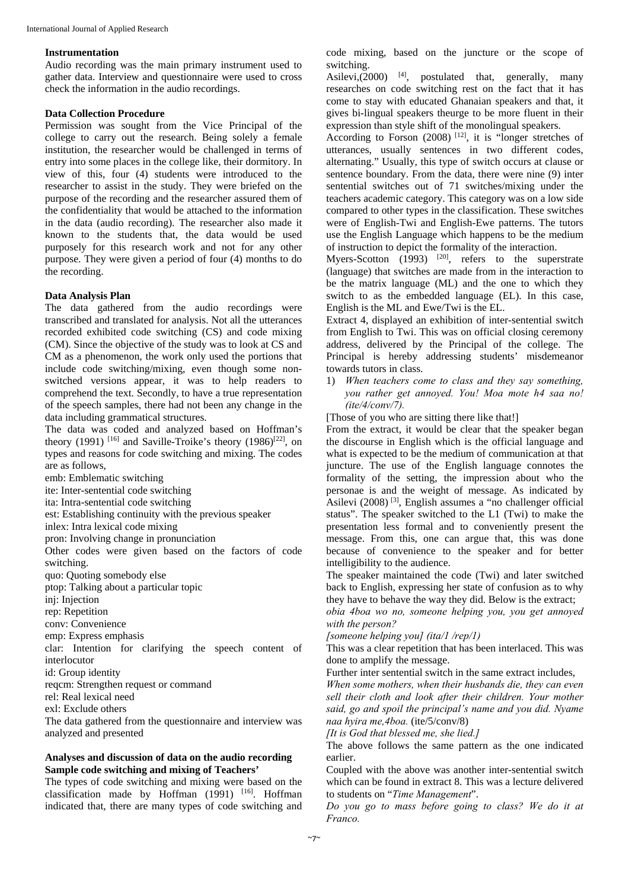## **Instrumentation**

Audio recording was the main primary instrument used to gather data. Interview and questionnaire were used to cross check the information in the audio recordings.

## **Data Collection Procedure**

Permission was sought from the Vice Principal of the college to carry out the research. Being solely a female institution, the researcher would be challenged in terms of entry into some places in the college like, their dormitory. In view of this, four (4) students were introduced to the researcher to assist in the study. They were briefed on the purpose of the recording and the researcher assured them of the confidentiality that would be attached to the information in the data (audio recording). The researcher also made it known to the students that, the data would be used purposely for this research work and not for any other purpose. They were given a period of four (4) months to do the recording.

#### **Data Analysis Plan**

The data gathered from the audio recordings were transcribed and translated for analysis. Not all the utterances recorded exhibited code switching (CS) and code mixing (CM). Since the objective of the study was to look at CS and CM as a phenomenon, the work only used the portions that include code switching/mixing, even though some nonswitched versions appear, it was to help readers to comprehend the text. Secondly, to have a true representation of the speech samples, there had not been any change in the data including grammatical structures.

The data was coded and analyzed based on Hoffman's theory (1991) <sup>[16]</sup> and Saville-Troike's theory (1986)<sup>[22]</sup>, on types and reasons for code switching and mixing. The codes are as follows,

emb: Emblematic switching

ite: Inter-sentential code switching

ita: Intra-sentential code switching

est: Establishing continuity with the previous speaker

inlex: Intra lexical code mixing

pron: Involving change in pronunciation

Other codes were given based on the factors of code switching.

quo: Quoting somebody else

ptop: Talking about a particular topic

ini: Injection

rep: Repetition

conv: Convenience

emp: Express emphasis

clar: Intention for clarifying the speech content of interlocutor

id: Group identity

reqcm: Strengthen request or command

rel: Real lexical need

exl: Exclude others

The data gathered from the questionnaire and interview was analyzed and presented

# **Analyses and discussion of data on the audio recording Sample code switching and mixing of Teachers'**

The types of code switching and mixing were based on the classification made by Hoffman  $(1991)$  <sup>[16]</sup>. Hoffman indicated that, there are many types of code switching and code mixing, based on the juncture or the scope of switching.

Asilevi, $(2000)$  <sup>[4]</sup>, postulated that, generally, many researches on code switching rest on the fact that it has come to stay with educated Ghanaian speakers and that, it gives bi-lingual speakers theurge to be more fluent in their expression than style shift of the monolingual speakers.

According to Forson (2008) [12], it is "longer stretches of utterances, usually sentences in two different codes, alternating." Usually, this type of switch occurs at clause or sentence boundary. From the data, there were nine (9) inter sentential switches out of 71 switches/mixing under the teachers academic category. This category was on a low side compared to other types in the classification. These switches were of English-Twi and English-Ewe patterns. The tutors use the English Language which happens to be the medium of instruction to depict the formality of the interaction.

Myers-Scotton  $(1993)$  <sup>[20]</sup>, refers to the superstrate (language) that switches are made from in the interaction to be the matrix language (ML) and the one to which they switch to as the embedded language (EL). In this case, English is the ML and Ewe/Twi is the EL.

Extract 4, displayed an exhibition of inter-sentential switch from English to Twi. This was on official closing ceremony address, delivered by the Principal of the college. The Principal is hereby addressing students' misdemeanor towards tutors in class.

1) *When teachers come to class and they say something, you rather get annoyed. You! Moa mote h4 saa no! (ite/4/conv/7).* 

[Those of you who are sitting there like that!]

From the extract, it would be clear that the speaker began the discourse in English which is the official language and what is expected to be the medium of communication at that juncture. The use of the English language connotes the formality of the setting, the impression about who the personae is and the weight of message. As indicated by Asilevi (2008) [3], English assumes a "no challenger official status". The speaker switched to the L1 (Twi) to make the presentation less formal and to conveniently present the message. From this, one can argue that, this was done because of convenience to the speaker and for better intelligibility to the audience.

The speaker maintained the code (Twi) and later switched back to English, expressing her state of confusion as to why they have to behave the way they did. Below is the extract;

*obia 4boa wo no, someone helping you, you get annoyed with the person?* 

*[someone helping you] (ita/1 /rep/1)* 

This was a clear repetition that has been interlaced. This was done to amplify the message.

Further inter sentential switch in the same extract includes,

*When some mothers, when their husbands die, they can even sell their cloth and look after their children. Your mother said, go and spoil the principal's name and you did. Nyame naa hyira me,4boa.* (ite/5/conv/8)

*[It is God that blessed me, she lied.]* 

The above follows the same pattern as the one indicated earlier.

Coupled with the above was another inter-sentential switch which can be found in extract 8. This was a lecture delivered to students on "*Time Management*".

*Do you go to mass before going to class? We do it at Franco.*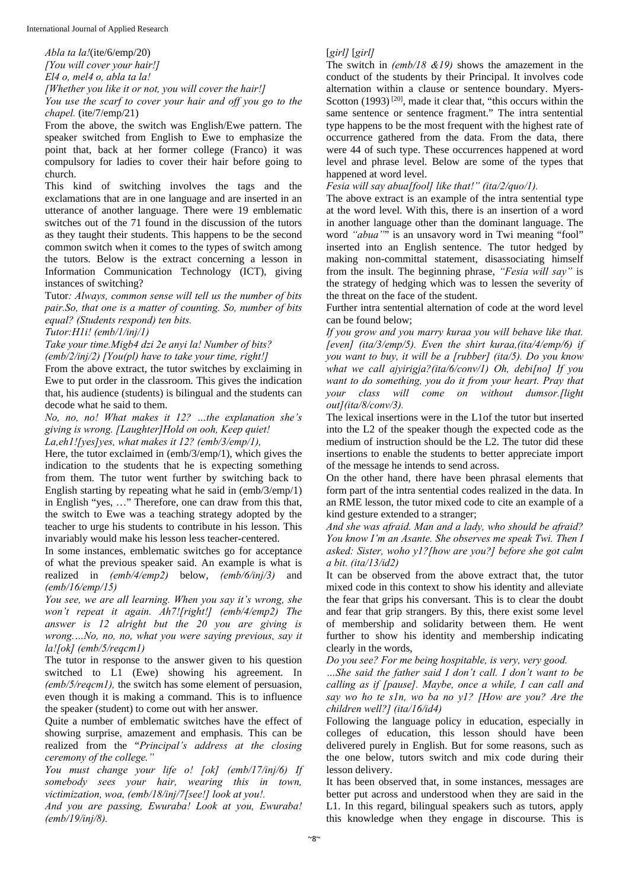*Abla ta la!*(ite/6/emp/20) *[You will cover your hair!] El4 o, mel4 o, abla ta la!* 

*[Whether you like it or not, you will cover the hair!]* 

*You use the scarf to cover your hair and off you go to the chapel.* (ite/7/emp/21)

From the above, the switch was English/Ewe pattern. The speaker switched from English to Ewe to emphasize the point that, back at her former college (Franco) it was compulsory for ladies to cover their hair before going to church.

This kind of switching involves the tags and the exclamations that are in one language and are inserted in an utterance of another language. There were 19 emblematic switches out of the 71 found in the discussion of the tutors as they taught their students. This happens to be the second common switch when it comes to the types of switch among the tutors. Below is the extract concerning a lesson in Information Communication Technology (ICT), giving instances of switching?

Tutor*: Always, common sense will tell us the number of bits pair.So, that one is a matter of counting. So, number of bits equal? (Students respond) ten bits.* 

*Tutor:H1i! (emb/1/inj/1)* 

*Take your time.Migb4 dzi 2e anyi la! Number of bits?* 

*(emb/2/inj/2) [You(pl) have to take your time, right!]* 

From the above extract, the tutor switches by exclaiming in Ewe to put order in the classroom. This gives the indication that, his audience (students) is bilingual and the students can decode what he said to them.

*No, no, no! What makes it 12? …the explanation she's giving is wrong. [Laughter]Hold on ooh, Keep quiet!* 

*La,eh1![yes]yes, what makes it 12? (emb/3/emp/1),*  Here, the tutor exclaimed in (emb/3/emp/1), which gives the

indication to the students that he is expecting something from them. The tutor went further by switching back to English starting by repeating what he said in (emb/3/emp/1) in English "yes, …" Therefore, one can draw from this that, the switch to Ewe was a teaching strategy adopted by the teacher to urge his students to contribute in his lesson. This invariably would make his lesson less teacher-centered.

In some instances, emblematic switches go for acceptance of what the previous speaker said. An example is what is realized in *(emb/4/emp2)* below, *(emb/6/inj/3)* and *(emb/16/emp/15)*

*You see, we are all learning. When you say it's wrong, she won't repeat it again. Ah7![right!] (emb/4/emp2) The answer is 12 alright but the 20 you are giving is wrong.…No, no, no, what you were saying previous, say it la![ok] (emb/5/reqcm1)* 

The tutor in response to the answer given to his question switched to L1 (Ewe) showing his agreement. In *(emb/5/reqcm1),* the switch has some element of persuasion, even though it is making a command. This is to influence the speaker (student) to come out with her answer.

Quite a number of emblematic switches have the effect of showing surprise, amazement and emphasis. This can be realized from the "*Principal's address at the closing ceremony of the college."* 

*You must change your life o! [ok] (emb/17/inj/6) If somebody sees your hair, wearing this in town, victimization, woa, (emb/18/inj/7[see!] look at you!.* 

*And you are passing, Ewuraba! Look at you, Ewuraba! (emb/19/inj/8).* 

# [*girl]* [*girl]*

The switch in *(emb/18 &19)* shows the amazement in the conduct of the students by their Principal. It involves code alternation within a clause or sentence boundary. Myers-Scotton  $(1993)$ <sup>[20]</sup>, made it clear that, "this occurs within the same sentence or sentence fragment." The intra sentential type happens to be the most frequent with the highest rate of occurrence gathered from the data. From the data, there were 44 of such type. These occurrences happened at word level and phrase level. Below are some of the types that happened at word level.

*Fesia will say abua[fool] like that!" (ita/2/quo/1).* 

The above extract is an example of the intra sentential type at the word level. With this, there is an insertion of a word in another language other than the dominant language. The word *"abua"*" is an unsavory word in Twi meaning "fool" inserted into an English sentence. The tutor hedged by making non-committal statement, disassociating himself from the insult. The beginning phrase, *"Fesia will say"* is the strategy of hedging which was to lessen the severity of the threat on the face of the student.

Further intra sentential alternation of code at the word level can be found below;

*If you grow and you marry kuraa you will behave like that. [even] (ita/3/emp/5). Even the shirt kuraa,(ita/4/emp/6) if you want to buy, it will be a [rubber] (ita/5). Do you know what we call ajyirigja?(ita/6/conv/1) Oh, debi[no] If you want to do something, you do it from your heart. Pray that your class will come on without dumsor.[light out](ita/8/conv/3).*

The lexical insertions were in the L1of the tutor but inserted into the L2 of the speaker though the expected code as the medium of instruction should be the L2. The tutor did these insertions to enable the students to better appreciate import of the message he intends to send across.

On the other hand, there have been phrasal elements that form part of the intra sentential codes realized in the data. In an RME lesson, the tutor mixed code to cite an example of a kind gesture extended to a stranger;

*And she was afraid. Man and a lady, who should be afraid? You know I'm an Asante. She observes me speak Twi. Then I asked: Sister, woho y1?[how are you?] before she got calm a bit. (ita/13/id2)* 

It can be observed from the above extract that, the tutor mixed code in this context to show his identity and alleviate the fear that grips his conversant. This is to clear the doubt and fear that grip strangers. By this, there exist some level of membership and solidarity between them. He went further to show his identity and membership indicating clearly in the words,

*Do you see? For me being hospitable, is very, very good.* 

*…She said the father said I don't call. I don't want to be calling as if [pause]. Maybe, once a while, I can call and say wo ho te s1n, wo ba no y1? [How are you? Are the children well?] (ita/16/id4)* 

Following the language policy in education, especially in colleges of education, this lesson should have been delivered purely in English. But for some reasons, such as the one below, tutors switch and mix code during their lesson delivery.

It has been observed that, in some instances, messages are better put across and understood when they are said in the L1. In this regard, bilingual speakers such as tutors, apply this knowledge when they engage in discourse. This is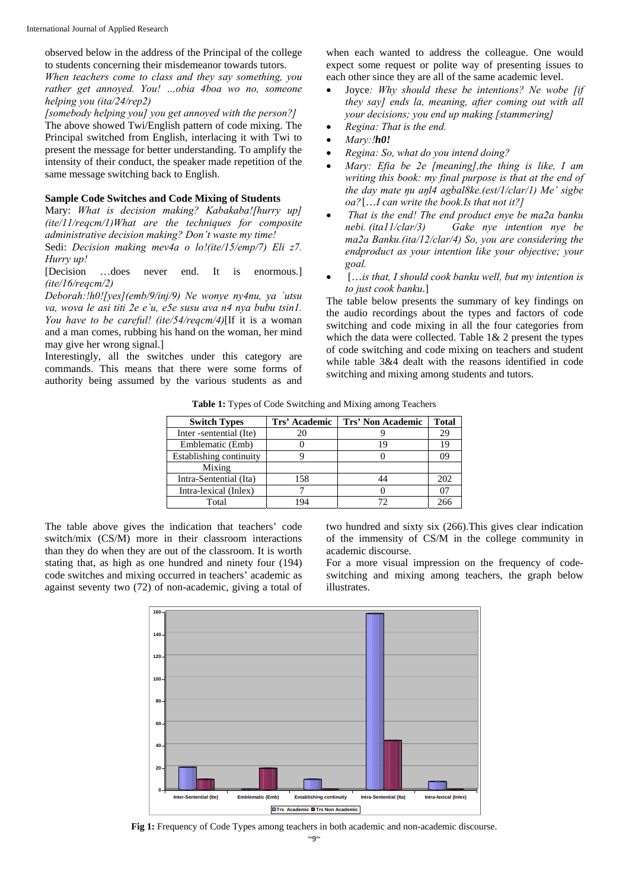observed below in the address of the Principal of the college to students concerning their misdemeanor towards tutors.

*When teachers come to class and they say something, you rather get annoyed. You! …obia 4boa wo no, someone helping you (ita/24/rep2)* 

*[somebody helping you] you get annoyed with the person?]* The above showed Twi/English pattern of code mixing. The Principal switched from English, interlacing it with Twi to present the message for better understanding. To amplify the intensity of their conduct, the speaker made repetition of the same message switching back to English.

#### **Sample Code Switches and Code Mixing of Students**

Mary: *What is decision making? Kabakaba![hurry up] (ite/11/reqcm/1)What are the techniques for composite administrative decision making? Don't waste my time!*  Sedi: *Decision making mev4a o lo!(ite/15/emp/7) Eli z7.* 

*Hurry up!* 

[Decision …does never end. It is enormous.] *(ite/16/reqcm/2)* 

*Deborah:!h0![yes](emb/9/inj/9) Ne wonye ny4nu, ya `utsu va, wova le asi titi 2e e`u, e5e susu ava n4 nya bubu tsin1. You have to be careful! (ite/54/reqcm/4)*[If it is a woman and a man comes, rubbing his hand on the woman, her mind may give her wrong signal.]

Interestingly, all the switches under this category are commands. This means that there were some forms of authority being assumed by the various students as and

when each wanted to address the colleague. One would expect some request or polite way of presenting issues to each other since they are all of the same academic level.

- Joyce*: Why should these be intentions? Ne wobe [if they say] ends la, meaning, after coming out with all your decisions; you end up making [stammering]*
- *Regina: That is the end.*
- *Mary:!h0!*
- *Regina: So, what do you intend doing?*
- *Mary: Efia be 2e [meaning],the thing is like, I am writing this book: my final purpose is that at the end of the day mate ŋu aŋl4 agbal8ke.(est/1/clar/1) Me' sigbe oa?* […*I can write the book.Is that not it?]*
- *That is the end! The end product enye be ma2a banku nebi. (ita11/clar/3) Gake nye intention nye be ma2a Banku.(ita/12/clar/4) So, you are considering the endproduct as your intention like your objective; your goal.*
- […*is that, I should cook banku well, but my intention is to just cook banku*.]

The table below presents the summary of key findings on the audio recordings about the types and factors of code switching and code mixing in all the four categories from which the data were collected. Table 1& 2 present the types of code switching and code mixing on teachers and student while table 3&4 dealt with the reasons identified in code switching and mixing among students and tutors.

**Table 1:** Types of Code Switching and Mixing among Teachers

| <b>Switch Types</b>     | Trs' Academic | Trs' Non Academic | <b>Total</b> |
|-------------------------|---------------|-------------------|--------------|
| Inter -sentential (Ite) | 20            |                   | 29           |
| Emblematic (Emb)        |               |                   | 19           |
| Establishing continuity |               |                   | 09           |
| Mixing                  |               |                   |              |
| Intra-Sentential (Ita)  | 158           | 44                | 202          |
| Intra-lexical (Inlex)   |               |                   | 07           |
| Total                   | 194           |                   | 266          |

The table above gives the indication that teachers' code switch/mix (CS/M) more in their classroom interactions than they do when they are out of the classroom. It is worth stating that, as high as one hundred and ninety four (194) code switches and mixing occurred in teachers' academic as against seventy two (72) of non-academic, giving a total of

two hundred and sixty six (266).This gives clear indication of the immensity of CS/M in the college community in academic discourse.

For a more visual impression on the frequency of codeswitching and mixing among teachers, the graph below illustrates.



**Fig 1:** Frequency of Code Types among teachers in both academic and non-academic discourse.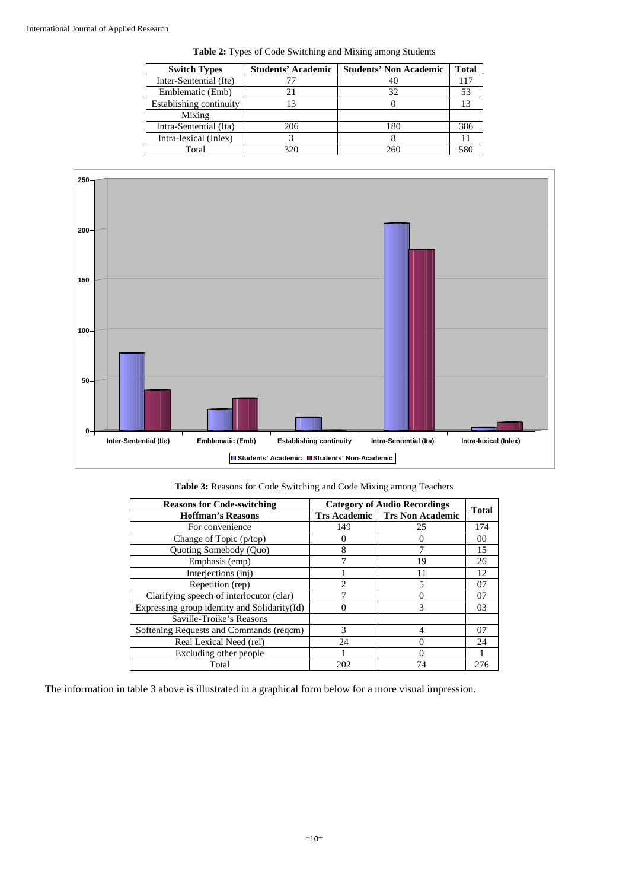| <b>Switch Types</b>     | <b>Students' Academic</b> | <b>Students' Non Academic</b> | Total |
|-------------------------|---------------------------|-------------------------------|-------|
| Inter-Sentential (Ite)  |                           | 40                            | 117   |
| Emblematic (Emb)        |                           | 32                            | 53    |
| Establishing continuity |                           |                               | 13    |
| Mixing                  |                           |                               |       |
| Intra-Sentential (Ita)  | 206                       | 180                           | 386   |
| Intra-lexical (Inlex)   |                           |                               |       |
| Total                   | 320                       | 260                           | 58C   |





| <b>Reasons for Code-switching</b>             | <b>Category of Audio Recordings</b> |                                      | <b>Total</b> |
|-----------------------------------------------|-------------------------------------|--------------------------------------|--------------|
| <b>Hoffman's Reasons</b>                      |                                     | <b>Trs Academic</b> Trs Non Academic |              |
| For convenience                               | 149                                 | 25                                   | 174          |
| Change of Topic (p/top)                       |                                     |                                      | 00           |
| Quoting Somebody (Quo)                        | 8                                   |                                      | 15           |
| Emphasis (emp)                                |                                     | 19                                   | 26           |
| Interjections (inj)                           |                                     |                                      | 12           |
| Repetition (rep)                              | $\mathfrak{D}$                      |                                      | 07           |
| Clarifying speech of interlocutor (clar)      |                                     |                                      | 07           |
| Expressing group identity and Solidarity (Id) |                                     | 3                                    | 03           |
| Saville-Troike's Reasons                      |                                     |                                      |              |
| Softening Requests and Commands (regcm)       | 3                                   |                                      | 07           |
| Real Lexical Need (rel)                       | 24                                  |                                      | 24           |
| Excluding other people                        |                                     |                                      |              |
| Total                                         | 202                                 | 74                                   | 276          |

The information in table 3 above is illustrated in a graphical form below for a more visual impression.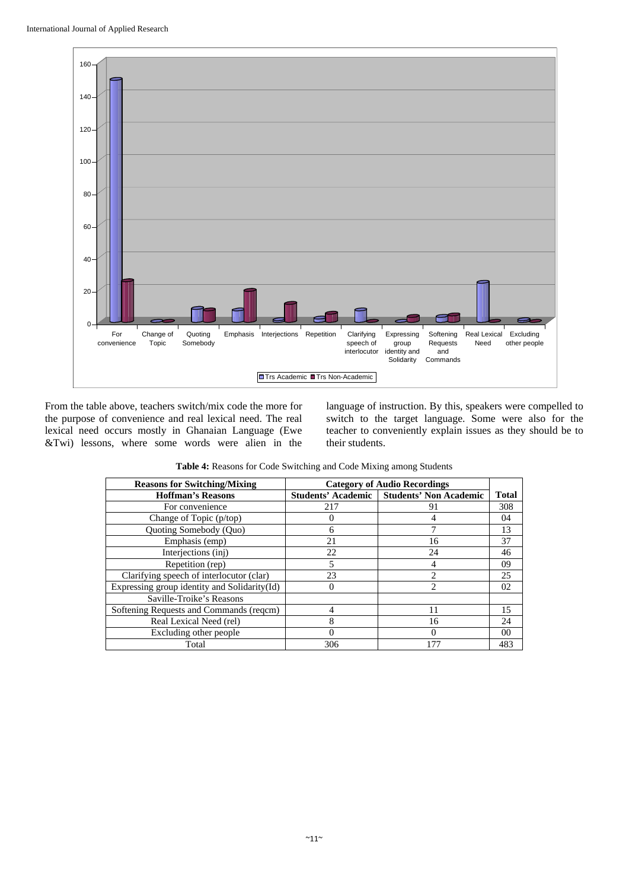

From the table above, teachers switch/mix code the more for the purpose of convenience and real lexical need. The real lexical need occurs mostly in Ghanaian Language (Ewe &Twi) lessons, where some words were alien in the

language of instruction. By this, speakers were compelled to switch to the target language. Some were also for the teacher to conveniently explain issues as they should be to their students.

| <b>Reasons for Switching/Mixing</b>          | <b>Category of Audio Recordings</b> |                                             |                |
|----------------------------------------------|-------------------------------------|---------------------------------------------|----------------|
| <b>Hoffman's Reasons</b>                     |                                     | Students' Academic   Students' Non Academic | <b>Total</b>   |
| For convenience                              | 217                                 | 91                                          | 308            |
| Change of Topic (p/top)                      | 0                                   |                                             | 04             |
| Quoting Somebody (Quo)                       | 6                                   | 7                                           | 13             |
| Emphasis (emp)                               | 21                                  | 16                                          | 37             |
| Interjections (inj)                          | 22                                  | 24                                          | 46             |
| Repetition (rep)                             | 5                                   | 4                                           | 09             |
| Clarifying speech of interlocutor (clar)     | 23                                  | $\mathfrak{D}$                              | 25             |
| Expressing group identity and Solidarity(Id) | $\Omega$                            | 2                                           | 02             |
| Saville-Troike's Reasons                     |                                     |                                             |                |
| Softening Requests and Commands (regcm)      | 4                                   | 11                                          | 15             |
| Real Lexical Need (rel)                      | 8                                   | 16                                          | 24             |
| Excluding other people                       | 0                                   |                                             | 0 <sup>0</sup> |
| Total                                        | 306                                 | 177                                         | 483            |

**Table 4:** Reasons for Code Switching and Code Mixing among Students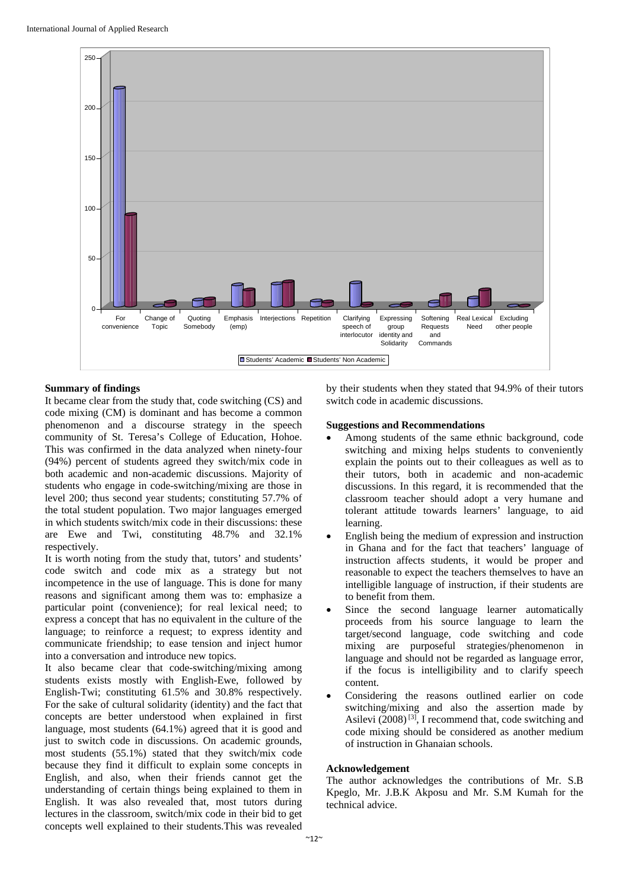

# **Summary of findings**

It became clear from the study that, code switching (CS) and code mixing (CM) is dominant and has become a common phenomenon and a discourse strategy in the speech community of St. Teresa's College of Education, Hohoe. This was confirmed in the data analyzed when ninety-four (94%) percent of students agreed they switch/mix code in both academic and non-academic discussions. Majority of students who engage in code-switching/mixing are those in level 200; thus second year students; constituting 57.7% of the total student population. Two major languages emerged in which students switch/mix code in their discussions: these are Ewe and Twi, constituting 48.7% and 32.1% respectively.

It is worth noting from the study that, tutors' and students' code switch and code mix as a strategy but not incompetence in the use of language. This is done for many reasons and significant among them was to: emphasize a particular point (convenience); for real lexical need; to express a concept that has no equivalent in the culture of the language; to reinforce a request; to express identity and communicate friendship; to ease tension and inject humor into a conversation and introduce new topics.

It also became clear that code-switching/mixing among students exists mostly with English-Ewe, followed by English-Twi; constituting 61.5% and 30.8% respectively. For the sake of cultural solidarity (identity) and the fact that concepts are better understood when explained in first language, most students (64.1%) agreed that it is good and just to switch code in discussions. On academic grounds, most students (55.1%) stated that they switch/mix code because they find it difficult to explain some concepts in English, and also, when their friends cannot get the understanding of certain things being explained to them in English. It was also revealed that, most tutors during lectures in the classroom, switch/mix code in their bid to get concepts well explained to their students.This was revealed

by their students when they stated that 94.9% of their tutors switch code in academic discussions.

## **Suggestions and Recommendations**

- Among students of the same ethnic background, code switching and mixing helps students to conveniently explain the points out to their colleagues as well as to their tutors, both in academic and non-academic discussions. In this regard, it is recommended that the classroom teacher should adopt a very humane and tolerant attitude towards learners' language, to aid learning.
- English being the medium of expression and instruction in Ghana and for the fact that teachers' language of instruction affects students, it would be proper and reasonable to expect the teachers themselves to have an intelligible language of instruction, if their students are to benefit from them.
- Since the second language learner automatically proceeds from his source language to learn the target/second language, code switching and code mixing are purposeful strategies/phenomenon in language and should not be regarded as language error, if the focus is intelligibility and to clarify speech content.
- Considering the reasons outlined earlier on code switching/mixing and also the assertion made by Asilevi (2008) [3], I recommend that, code switching and code mixing should be considered as another medium of instruction in Ghanaian schools.

# **Acknowledgement**

The author acknowledges the contributions of Mr. S.B Kpeglo, Mr. J.B.K Akposu and Mr. S.M Kumah for the technical advice.